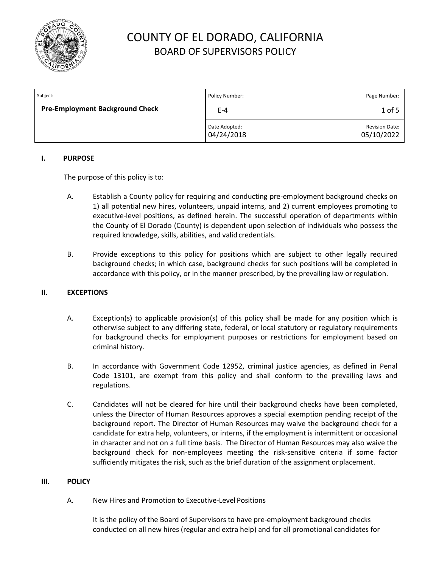

| Subject:                               | Policy Number:              | Page Number:                        |
|----------------------------------------|-----------------------------|-------------------------------------|
| <b>Pre-Employment Background Check</b> | $E-4$                       | $1$ of 5                            |
|                                        | Date Adopted:<br>04/24/2018 | <b>Revision Date:</b><br>05/10/2022 |

### **I. PURPOSE**

The purpose of this policy is to:

- A. Establish a County policy for requiring and conducting pre-employment background checks on 1) all potential new hires, volunteers, unpaid interns, and 2) current employees promoting to executive-level positions, as defined herein. The successful operation of departments within the County of El Dorado (County) is dependent upon selection of individuals who possess the required knowledge, skills, abilities, and valid credentials.
- B. Provide exceptions to this policy for positions which are subject to other legally required background checks; in which case, background checks for such positions will be completed in accordance with this policy, or in the manner prescribed, by the prevailing law orregulation.

### **II. EXCEPTIONS**

- A. Exception(s) to applicable provision(s) of this policy shall be made for any position which is otherwise subject to any differing state, federal, or local statutory or regulatory requirements for background checks for employment purposes or restrictions for employment based on criminal history.
- B. In accordance with Government Code 12952, criminal justice agencies, as defined in Penal Code 13101, are exempt from this policy and shall conform to the prevailing laws and regulations.
- C. Candidates will not be cleared for hire until their background checks have been completed, unless the Director of Human Resources approves a special exemption pending receipt of the background report. The Director of Human Resources may waive the background check for a candidate for extra help, volunteers, or interns, if the employment is intermittent or occasional in character and not on a full time basis. The Director of Human Resources may also waive the background check for non-employees meeting the risk-sensitive criteria if some factor sufficiently mitigates the risk, such as the brief duration of the assignment orplacement.

#### **III. POLICY**

A. New Hires and Promotion to Executive-Level Positions

It is the policy of the Board of Supervisors to have pre-employment background checks conducted on all new hires (regular and extra help) and for all promotional candidates for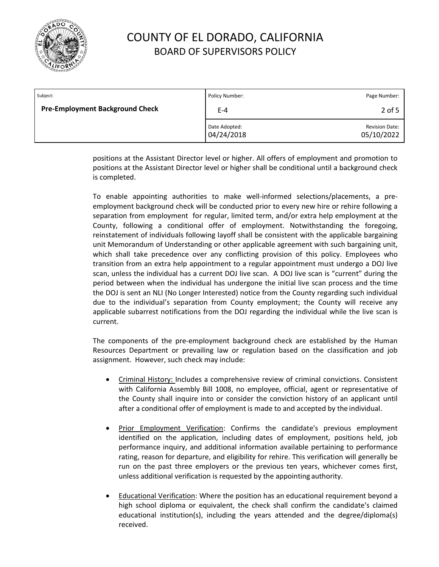

| Subject:                               | Policy Number:              | Page Number:                        |
|----------------------------------------|-----------------------------|-------------------------------------|
| <b>Pre-Employment Background Check</b> | $E-4$                       | $2$ of 5                            |
|                                        | Date Adopted:<br>04/24/2018 | <b>Revision Date:</b><br>05/10/2022 |

positions at the Assistant Director level or higher. All offers of employment and promotion to positions at the Assistant Director level or higher shall be conditional until a background check is completed.

To enable appointing authorities to make well-informed selections/placements, a preemployment background check will be conducted prior to every new hire or rehire following a separation from employment for regular, limited term, and/or extra help employment at the County, following a conditional offer of employment. Notwithstanding the foregoing, reinstatement of individuals following layoff shall be consistent with the applicable bargaining unit Memorandum of Understanding or other applicable agreement with such bargaining unit, which shall take precedence over any conflicting provision of this policy. Employees who transition from an extra help appointment to a regular appointment must undergo a DOJ live scan, unless the individual has a current DOJ live scan. A DOJ live scan is "current" during the period between when the individual has undergone the initial live scan process and the time the DOJ is sent an NLI (No Longer Interested) notice from the County regarding such individual due to the individual's separation from County employment; the County will receive any applicable subarrest notifications from the DOJ regarding the individual while the live scan is current.

The components of the pre-employment background check are established by the Human Resources Department or prevailing law or regulation based on the classification and job assignment. However, such check may include:

- Criminal History: Includes a comprehensive review of criminal convictions. Consistent with California Assembly Bill 1008, no employee, official, agent or representative of the County shall inquire into or consider the conviction history of an applicant until after a conditional offer of employment is made to and accepted by the individual.
- **Prior Employment Verification: Confirms the candidate's previous employment** identified on the application, including dates of employment, positions held, job performance inquiry, and additional information available pertaining to performance rating, reason for departure, and eligibility for rehire. This verification will generally be run on the past three employers or the previous ten years, whichever comes first, unless additional verification is requested by the appointing authority.
- Educational Verification: Where the position has an educational requirement beyond a high school diploma or equivalent, the check shall confirm the candidate's claimed educational institution(s), including the years attended and the degree/diploma(s) received.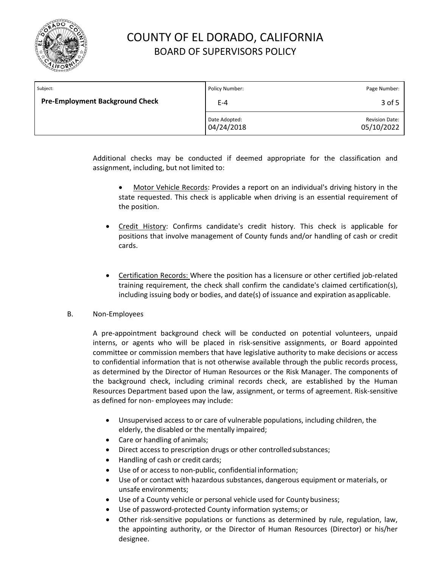

| Subject:                               | Policy Number:              | Page Number:                        |
|----------------------------------------|-----------------------------|-------------------------------------|
| <b>Pre-Employment Background Check</b> | $E-4$                       | 3 of 5                              |
|                                        | Date Adopted:<br>04/24/2018 | <b>Revision Date:</b><br>05/10/2022 |

Additional checks may be conducted if deemed appropriate for the classification and assignment, including, but not limited to:

- Motor Vehicle Records: Provides a report on an individual's driving history in the state requested. This check is applicable when driving is an essential requirement of the position.
- Credit History: Confirms candidate's credit history. This check is applicable for positions that involve management of County funds and/or handling of cash or credit cards.
- Certification Records: Where the position has a licensure or other certified job-related training requirement, the check shall confirm the candidate's claimed certification(s), including issuing body or bodies, and date(s) of issuance and expiration as applicable.

### B. Non-Employees

A pre-appointment background check will be conducted on potential volunteers, unpaid interns, or agents who will be placed in risk-sensitive assignments, or Board appointed committee or commission members that have legislative authority to make decisions or access to confidential information that is not otherwise available through the public records process, as determined by the Director of Human Resources or the Risk Manager. The components of the background check, including criminal records check, are established by the Human Resources Department based upon the law, assignment, or terms of agreement. Risk-sensitive as defined for non- employees may include:

- Unsupervised access to or care of vulnerable populations, including children, the elderly, the disabled or the mentally impaired;
- Care or handling of animals;
- Direct access to prescription drugs or other controlled substances;
- Handling of cash or credit cards;
- Use of or access to non-public, confidential information;
- Use of or contact with hazardous substances, dangerous equipment or materials, or unsafe environments;
- Use of a County vehicle or personal vehicle used for County business;
- Use of password-protected County information systems; or
- Other risk-sensitive populations or functions as determined by rule, regulation, law, the appointing authority, or the Director of Human Resources (Director) or his/her designee.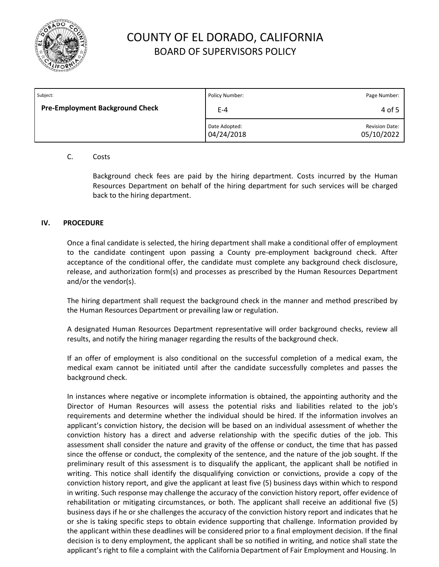

| Subject:                               | Policy Number:              | Page Number:                        |
|----------------------------------------|-----------------------------|-------------------------------------|
| <b>Pre-Employment Background Check</b> | $E-4$                       | 4 of 5                              |
|                                        | Date Adopted:<br>04/24/2018 | <b>Revision Date:</b><br>05/10/2022 |

### C. Costs

Background check fees are paid by the hiring department. Costs incurred by the Human Resources Department on behalf of the hiring department for such services will be charged back to the hiring department.

### **IV. PROCEDURE**

Once a final candidate is selected, the hiring department shall make a conditional offer of employment to the candidate contingent upon passing a County pre-employment background check. After acceptance of the conditional offer, the candidate must complete any background check disclosure, release, and authorization form(s) and processes as prescribed by the Human Resources Department and/or the vendor(s).

The hiring department shall request the background check in the manner and method prescribed by the Human Resources Department or prevailing law or regulation.

A designated Human Resources Department representative will order background checks, review all results, and notify the hiring manager regarding the results of the background check.

If an offer of employment is also conditional on the successful completion of a medical exam, the medical exam cannot be initiated until after the candidate successfully completes and passes the background check.

In instances where negative or incomplete information is obtained, the appointing authority and the Director of Human Resources will assess the potential risks and liabilities related to the job's requirements and determine whether the individual should be hired. If the information involves an applicant's conviction history, the decision will be based on an individual assessment of whether the conviction history has a direct and adverse relationship with the specific duties of the job. This assessment shall consider the nature and gravity of the offense or conduct, the time that has passed since the offense or conduct, the complexity of the sentence, and the nature of the job sought. If the preliminary result of this assessment is to disqualify the applicant, the applicant shall be notified in writing. This notice shall identify the disqualifying conviction or convictions, provide a copy of the conviction history report, and give the applicant at least five (5) business days within which to respond in writing. Such response may challenge the accuracy of the conviction history report, offer evidence of rehabilitation or mitigating circumstances, or both. The applicant shall receive an additional five (5) business days if he or she challenges the accuracy of the conviction history report and indicates that he or she is taking specific steps to obtain evidence supporting that challenge. Information provided by the applicant within these deadlines will be considered prior to a final employment decision. If the final decision is to deny employment, the applicant shall be so notified in writing, and notice shall state the applicant's right to file a complaint with the California Department of Fair Employment and Housing. In